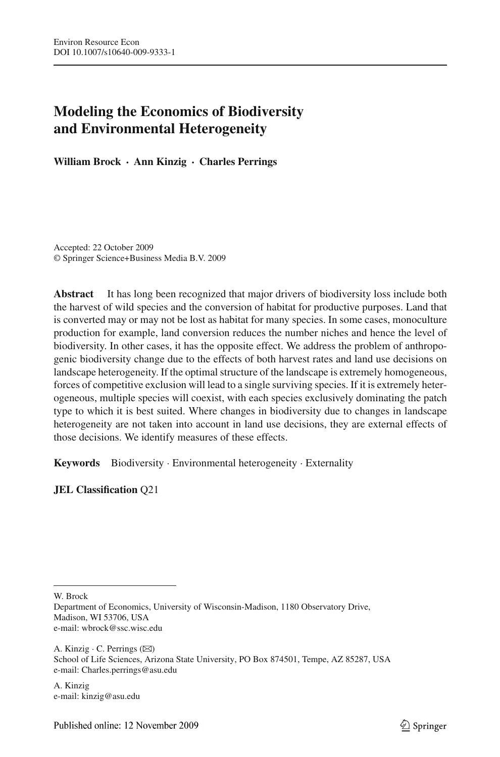# **Modeling the Economics of Biodiversity and Environmental Heterogeneity**

**William Brock · Ann Kinzig · Charles Perrings**

Accepted: 22 October 2009 © Springer Science+Business Media B.V. 2009

**Abstract** It has long been recognized that major drivers of biodiversity loss include both the harvest of wild species and the conversion of habitat for productive purposes. Land that is converted may or may not be lost as habitat for many species. In some cases, monoculture production for example, land conversion reduces the number niches and hence the level of biodiversity. In other cases, it has the opposite effect. We address the problem of anthropogenic biodiversity change due to the effects of both harvest rates and land use decisions on landscape heterogeneity. If the optimal structure of the landscape is extremely homogeneous, forces of competitive exclusion will lead to a single surviving species. If it is extremely heterogeneous, multiple species will coexist, with each species exclusively dominating the patch type to which it is best suited. Where changes in biodiversity due to changes in landscape heterogeneity are not taken into account in land use decisions, they are external effects of those decisions. We identify measures of these effects.

**Keywords** Biodiversity · Environmental heterogeneity · Externality

**JEL Classification** Q21

W. Brock

A. Kinzig  $\cdot$  C. Perrings ( $\boxtimes$ ) School of Life Sciences, Arizona State University, PO Box 874501, Tempe, AZ 85287, USA e-mail: Charles.perrings@asu.edu

Department of Economics, University of Wisconsin-Madison, 1180 Observatory Drive, Madison, WI 53706, USA e-mail: wbrock@ssc.wisc.edu

A. Kinzig e-mail: kinzig@asu.edu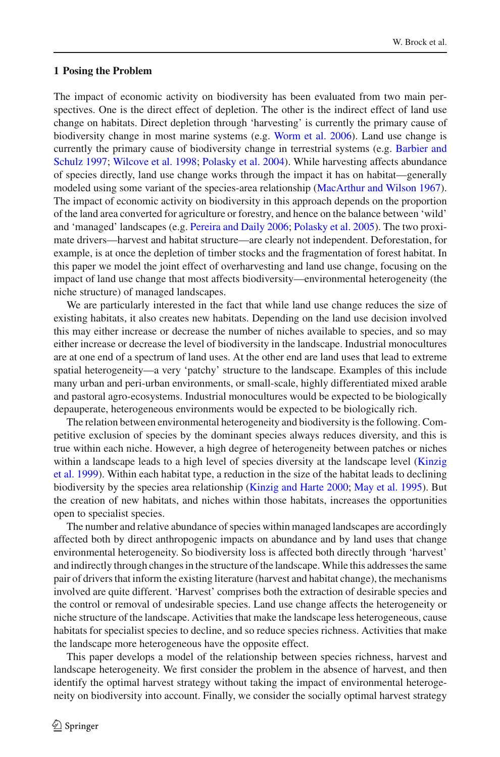## **1 Posing the Problem**

The impact of economic activity on biodiversity has been evaluated from two main perspectives. One is the direct effect of depletion. The other is the indirect effect of land use change on habitats. Direct depletion through 'harvesting' is currently the primary cause of biodiversity change in most marine systems (e.g. [Worm et al. 2006](#page-15-0)). Land use change is curren[tly the primary cause of biodiversity change in terrestrial systems \(e.g.](#page-14-0) Barbier and Schulz [1997](#page-14-0); [Wilcove et al. 1998](#page-15-1); [Polasky et al. 2004](#page-15-2)). While harvesting affects abundance of species directly, land use change works through the impact it has on habitat—generally modeled using some variant of the species-area relationship [\(MacArthur and Wilson 1967\)](#page-14-1). The impact of economic activity on biodiversity in this approach depends on the proportion of the land area converted for agriculture or forestry, and hence on the balance between 'wild' and 'managed' landscapes (e.g. [Pereira and Daily 2006;](#page-14-2) [Polasky et al. 2005](#page-15-3)). The two proximate drivers—harvest and habitat structure—are clearly not independent. Deforestation, for example, is at once the depletion of timber stocks and the fragmentation of forest habitat. In this paper we model the joint effect of overharvesting and land use change, focusing on the impact of land use change that most affects biodiversity—environmental heterogeneity (the niche structure) of managed landscapes.

We are particularly interested in the fact that while land use change reduces the size of existing habitats, it also creates new habitats. Depending on the land use decision involved this may either increase or decrease the number of niches available to species, and so may either increase or decrease the level of biodiversity in the landscape. Industrial monocultures are at one end of a spectrum of land uses. At the other end are land uses that lead to extreme spatial heterogeneity—a very 'patchy' structure to the landscape. Examples of this include many urban and peri-urban environments, or small-scale, highly differentiated mixed arable and pastoral agro-ecosystems. Industrial monocultures would be expected to be biologically depauperate, heterogeneous environments would be expected to be biologically rich.

The relation between environmental heterogeneity and biodiversity is the following. Competitive exclusion of species by the dominant species always reduces diversity, and this is true within each niche. However, a high degree of heterogeneity between patches or niches with[in a landscape leads to a high level of species diversity at the landscape level \(](#page-14-3)Kinzig et al. [1999](#page-14-3)). Within each habitat type, a reduction in the size of the habitat leads to declining biodiversity by the species area relationship [\(Kinzig and Harte 2000](#page-14-4); [May et al. 1995](#page-14-5)). But the creation of new habitats, and niches within those habitats, increases the opportunities open to specialist species.

The number and relative abundance of species within managed landscapes are accordingly affected both by direct anthropogenic impacts on abundance and by land uses that change environmental heterogeneity. So biodiversity loss is affected both directly through 'harvest' and indirectly through changes in the structure of the landscape. While this addresses the same pair of drivers that inform the existing literature (harvest and habitat change), the mechanisms involved are quite different. 'Harvest' comprises both the extraction of desirable species and the control or removal of undesirable species. Land use change affects the heterogeneity or niche structure of the landscape. Activities that make the landscape less heterogeneous, cause habitats for specialist species to decline, and so reduce species richness. Activities that make the landscape more heterogeneous have the opposite effect.

This paper develops a model of the relationship between species richness, harvest and landscape heterogeneity. We first consider the problem in the absence of harvest, and then identify the optimal harvest strategy without taking the impact of environmental heterogeneity on biodiversity into account. Finally, we consider the socially optimal harvest strategy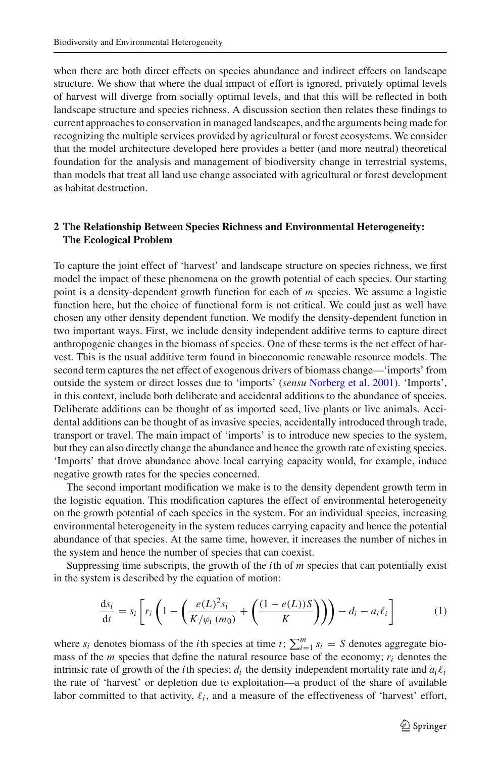when there are both direct effects on species abundance and indirect effects on landscape structure. We show that where the dual impact of effort is ignored, privately optimal levels of harvest will diverge from socially optimal levels, and that this will be reflected in both landscape structure and species richness. A discussion section then relates these findings to current approaches to conservation in managed landscapes, and the arguments being made for recognizing the multiple services provided by agricultural or forest ecosystems. We consider that the model architecture developed here provides a better (and more neutral) theoretical foundation for the analysis and management of biodiversity change in terrestrial systems, than models that treat all land use change associated with agricultural or forest development as habitat destruction.

# **2 The Relationship Between Species Richness and Environmental Heterogeneity: The Ecological Problem**

To capture the joint effect of 'harvest' and landscape structure on species richness, we first model the impact of these phenomena on the growth potential of each species. Our starting point is a density-dependent growth function for each of *m* species. We assume a logistic function here, but the choice of functional form is not critical. We could just as well have chosen any other density dependent function. We modify the density-dependent function in two important ways. First, we include density independent additive terms to capture direct anthropogenic changes in the biomass of species. One of these terms is the net effect of harvest. This is the usual additive term found in bioeconomic renewable resource models. The second term captures the net effect of exogenous drivers of biomass change—'imports' from outside the system or direct losses due to 'imports' (*sensu* [Norberg et al. 2001\)](#page-14-6). 'Imports', in this context, include both deliberate and accidental additions to the abundance of species. Deliberate additions can be thought of as imported seed, live plants or live animals. Accidental additions can be thought of as invasive species, accidentally introduced through trade, transport or travel. The main impact of 'imports' is to introduce new species to the system, but they can also directly change the abundance and hence the growth rate of existing species. 'Imports' that drove abundance above local carrying capacity would, for example, induce negative growth rates for the species concerned.

The second important modification we make is to the density dependent growth term in the logistic equation. This modification captures the effect of environmental heterogeneity on the growth potential of each species in the system. For an individual species, increasing environmental heterogeneity in the system reduces carrying capacity and hence the potential abundance of that species. At the same time, however, it increases the number of niches in the system and hence the number of species that can coexist.

Suppressing time subscripts, the growth of the *i*th of *m* species that can potentially exist in the system is described by the equation of motion:

$$
\frac{\mathrm{d}s_i}{\mathrm{d}t} = s_i \left[ r_i \left( 1 - \left( \frac{e(L)^2 s_i}{K / \varphi_i \left( m_0 \right)} + \left( \frac{(1 - e(L))S}{K} \right) \right) \right) - d_i - a_i \ell_i \right] \tag{1}
$$

<span id="page-2-0"></span>where  $s_i$  denotes biomass of the *i*th species at time *t*;  $\sum_{i=1}^{m} s_i = S$  denotes aggregate biomass of the  $m$  species that define the natural resource base of the economy;  $r_i$  denotes the intrinsic rate of growth of the *i*th species;  $d_i$  the density independent mortality rate and  $a_i \ell_i$ the rate of 'harvest' or depletion due to exploitation—a product of the share of available labor committed to that activity,  $\ell_i$ , and a measure of the effectiveness of 'harvest' effort,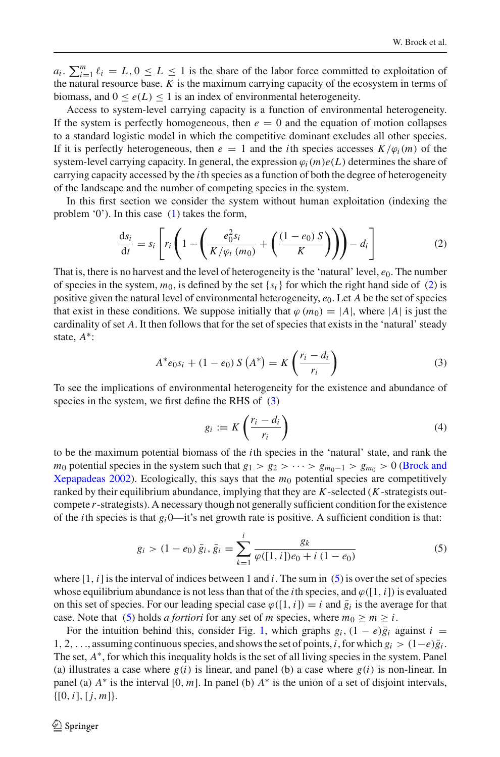$a_i$ .  $\sum_{i=1}^m \ell_i = L$ ,  $0 \le L \le 1$  is the share of the labor force committed to exploitation of the natural resource base. *K* is the maximum carrying capacity of the ecosystem in terms of biomass, and  $0 \leq e(L) \leq 1$  is an index of environmental heterogeneity.

Access to system-level carrying capacity is a function of environmental heterogeneity. If the system is perfectly homogeneous, then  $e = 0$  and the equation of motion collapses to a standard logistic model in which the competitive dominant excludes all other species. If it is perfectly heterogeneous, then  $e = 1$  and the *i*th species accesses  $K/\varphi_i(m)$  of the system-level carrying capacity. In general, the expression  $\varphi_i(m)e(L)$  determines the share of carrying capacity accessed by the *i*th species as a function of both the degree of heterogeneity of the landscape and the number of competing species in the system.

In this first section we consider the system without human exploitation (indexing the problem '0'). In this case [\(1\)](#page-2-0) takes the form,

$$
\frac{\mathrm{d}s_i}{\mathrm{d}t} = s_i \left[ r_i \left( 1 - \left( \frac{e_0^2 s_i}{K / \varphi_i \left( m_0 \right)} + \left( \frac{(1 - e_0) S}{K} \right) \right) \right) - d_i \right] \tag{2}
$$

<span id="page-3-0"></span>That is, there is no harvest and the level of heterogeneity is the 'natural' level,  $e_0$ . The number of species in the system,  $m_0$ , is defined by the set  $\{s_i\}$  for which the right hand side of [\(2\)](#page-3-0) is positive given the natural level of environmental heterogeneity, *e*0. Let *A* be the set of species that exist in these conditions. We suppose initially that  $\varphi$  (*m*<sub>0</sub>) = |*A*|, where |*A*| is just the cardinality of set *A*. It then follows that for the set of species that exists in the 'natural' steady state, *A*∗:

$$
A^*e_0s_i + (1 - e_0) S(A^*) = K\left(\frac{r_i - d_i}{r_i}\right)
$$
 (3)

<span id="page-3-1"></span>To see the implications of environmental heterogeneity for the existence and abundance of species in the system, we first define the RHS of [\(3\)](#page-3-1)

$$
g_i := K\left(\frac{r_i - d_i}{r_i}\right) \tag{4}
$$

to be the maximum potential biomass of the *i*th species in the 'natural' state, and rank the *m*<sub>0</sub> potentia[l](#page-14-7) [species](#page-14-7) [in](#page-14-7) [the](#page-14-7) [system](#page-14-7) [such](#page-14-7) [that](#page-14-7)  $g_1 > g_2 > \cdots > g_{m_0-1} > g_{m_0} > 0$  (Brock and Xepapadeas [2002](#page-14-7)). Ecologically, this says that the  $m<sub>0</sub>$  potential species are competitively ranked by their equilibrium abundance, implying that they are *K*-selected (*K*-strategists outcompete *r*-strategists). A necessary though not generally sufficient condition for the existence of the *i*th species is that  $g_i$  0—it's net growth rate is positive. A sufficient condition is that:

$$
g_i > (1 - e_0) \bar{g}_i, \bar{g}_i = \sum_{k=1}^i \frac{g_k}{\varphi([1, i])e_0 + i(1 - e_0)}
$$
(5)

<span id="page-3-2"></span>where  $[1, i]$  is the interval of indices between 1 and *i*. The sum in  $(5)$  is over the set of species whose equilibrium abundance is not less than that of the *i*th species, and  $\varphi([1, i])$  is evaluated on this set of species. For our leading special case  $\varphi([1, i]) = i$  and  $\bar{g}_i$  is the average for that case. Note that [\(5\)](#page-3-2) holds *a fortiori* for any set of *m* species, where  $m_0 \ge m \ge i$ .

For the intuition behind this, consider Fig. [1,](#page-4-0) which graphs  $g_i$ ,  $(1 - e)\overline{g}_i$  against  $i =$ 1, 2, ..., assuming continuous species, and shows the set of points, *i*, for which  $g_i > (1-e)\overline{g_i}$ . The set,  $A^*$ , for which this inequality holds is the set of all living species in the system. Panel (a) illustrates a case where  $g(i)$  is linear, and panel (b) a case where  $g(i)$  is non-linear. In panel (a)  $A^*$  is the interval [0, *m*]. In panel (b)  $A^*$  is the union of a set of disjoint intervals, {[0,*i*],[*j*, *m*]}.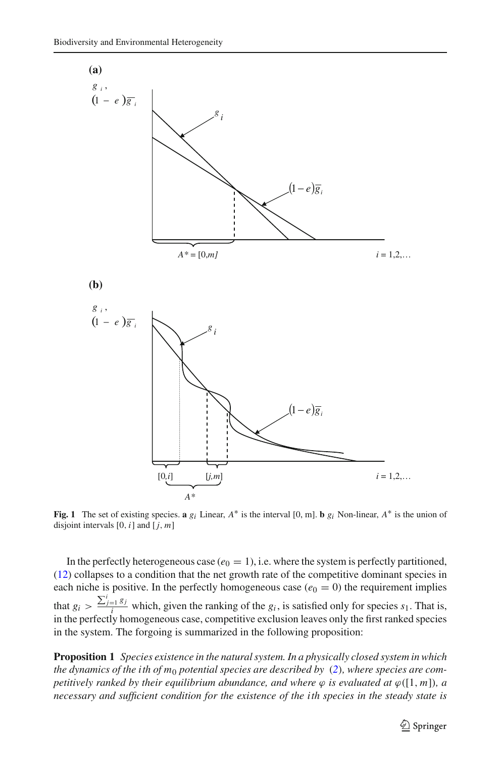

<span id="page-4-0"></span>**Fig. 1** The set of existing species. **a**  $g_i$  Linear,  $A^*$  is the interval [0, m]. **b**  $g_i$  Non-linear,  $A^*$  is the union of disjoint intervals  $[0, i]$  and  $[i, m]$ 

In the perfectly heterogeneous case  $(e_0 = 1)$ , i.e. where the system is perfectly partitioned, [\(12\)](#page-7-0) collapses to a condition that the net growth rate of the competitive dominant species in each niche is positive. In the perfectly homogeneous case  $(e_0 = 0)$  the requirement implies that  $g_i > \frac{\sum_{j=1}^{i} g_j}{i}$  which, given the ranking of the  $g_i$ , is satisfied only for species  $s_1$ . That is, in the perfectly homogeneous case, competitive exclusion leaves only the first ranked species in the system. The forgoing is summarized in the following proposition:

<span id="page-4-1"></span>**Proposition 1** *Species existence in the natural system. In a physically closed system in which the dynamics of the ith of*  $m_0$  *potential species are described by* ([2](#page-3-0))*, where species are competitively ranked by their equilibrium abundance, and where*  $\varphi$  *is evaluated at*  $\varphi([1, m])$ *, a necessary and sufficient condition for the existence of the ith species in the steady state is*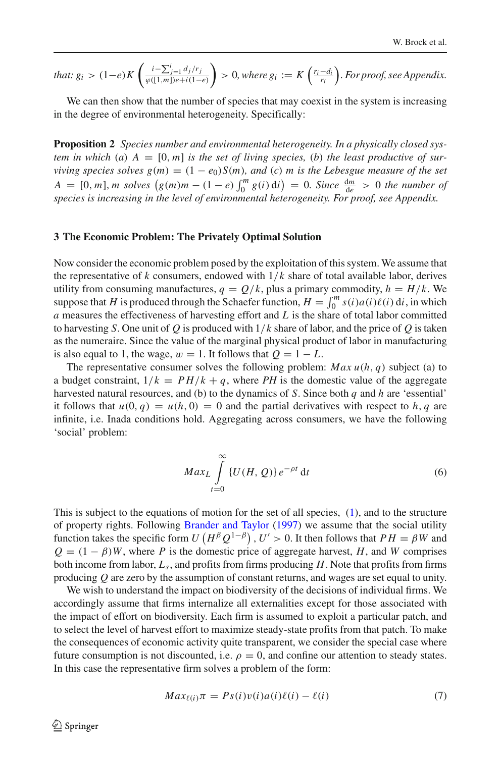that: 
$$
g_i > (1-e)K\left(\frac{i-\sum_{j=1}^i d_j/r_j}{\varphi([1,m])e+i(1-e)}\right) > 0
$$
, where  $g_i := K\left(\frac{r_i-d_i}{r_i}\right)$ . For proof, see Appendix.

We can then show that the number of species that may coexist in the system is increasing in the degree of environmental heterogeneity. Specifically:

<span id="page-5-1"></span>**Proposition 2** *Species number and environmental heterogeneity. In a physically closed system in which* (*a*)  $A = [0, m]$  *is the set of living species,* (*b*) *the least productive of surviving species solves*  $g(m) = (1 - e_0)S(m)$ *, and* (*c*) *m is the Lebesgue measure of the set*  $A = [0, m], m \text{ solves } (g(m)m - (1 - e) \int_0^m g(i) \, di) = 0.$  Since  $\frac{dm}{de} > 0$  the number of *species is increasing in the level of environmental heterogeneity. For proof, see Appendix.*

#### **3 The Economic Problem: The Privately Optimal Solution**

Now consider the economic problem posed by the exploitation of this system. We assume that the representative of  $k$  consumers, endowed with  $1/k$  share of total available labor, derives utility from consuming manufactures,  $q = Q/k$ , plus a primary commodity,  $h = H/k$ . We suppose that *H* is produced through the Schaefer function,  $H = \int_0^m s(i)a(i)\ell(i) dt$ , in which *a* measures the effectiveness of harvesting effort and *L* is the share of total labor committed to harvesting *S*. One unit of *Q* is produced with 1/*k* share of labor, and the price of *Q* is taken as the numeraire. Since the value of the marginal physical product of labor in manufacturing is also equal to 1, the wage,  $w = 1$ . It follows that  $Q = 1 - L$ .

The representative consumer solves the following problem:  $Max u(h, q)$  subject (a) to a budget constraint,  $1/k = PH/k + q$ , where PH is the domestic value of the aggregate harvested natural resources, and (b) to the dynamics of *S*. Since both *q* and *h* are 'essential' it follows that  $u(0, q) = u(h, 0) = 0$  and the partial derivatives with respect to h, q are infinite, i.e. Inada conditions hold. Aggregating across consumers, we have the following 'social' problem:

$$
Max_{L} \int_{t=0}^{\infty} \{U(H, Q)\} e^{-\rho t} dt
$$
 (6)

This is subject to the equations of motion for the set of all species, [\(1\)](#page-2-0), and to the structure of property rights. Following [Brander and Taylor](#page-14-8) [\(1997\)](#page-14-8) we assume that the social utility function takes the specific form  $U(H^{\beta}Q^{1-\beta})$ ,  $U' > 0$ . It then follows that  $PH = \beta W$  and  $Q = (1 - \beta)W$ , where *P* is the domestic price of aggregate harvest, *H*, and *W* comprises both income from labor, *Ls*, and profits from firms producing *H*. Note that profits from firms producing *Q* are zero by the assumption of constant returns, and wages are set equal to unity.

We wish to understand the impact on biodiversity of the decisions of individual firms. We accordingly assume that firms internalize all externalities except for those associated with the impact of effort on biodiversity. Each firm is assumed to exploit a particular patch, and to select the level of harvest effort to maximize steady-state profits from that patch. To make the consequences of economic activity quite transparent, we consider the special case where future consumption is not discounted, i.e.  $\rho = 0$ , and confine our attention to steady states. In this case the representative firm solves a problem of the form:

<span id="page-5-0"></span>
$$
Max_{\ell(i)}\pi = Ps(i)v(i)a(i)\ell(i) - \ell(i)
$$
\n(7)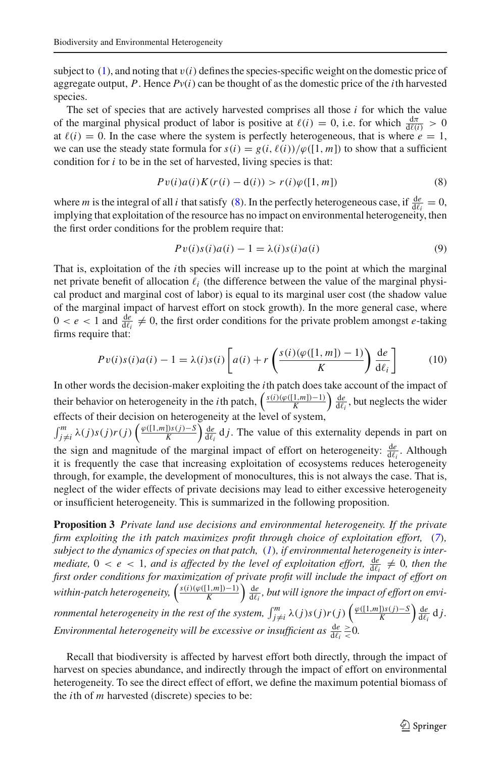subject to  $(1)$ , and noting that  $v(i)$  defines the species-specific weight on the domestic price of aggregate output, *P*. Hence *Pv*(*i*) can be thought of as the domestic price of the *i*th harvested species.

The set of species that are actively harvested comprises all those *i* for which the value of the marginal physical product of labor is positive at  $\ell(i) = 0$ , i.e. for which  $\frac{d\pi}{d\ell(i)} > 0$ at  $\ell(i) = 0$ . In the case where the system is perfectly heterogeneous, that is where  $e = 1$ , we can use the steady state formula for  $s(i) = g(i, \ell(i))/\varphi([1, m])$  to show that a sufficient condition for *i* to be in the set of harvested, living species is that:

$$
Pv(i)a(i)K(r(i) - d(i)) > r(i)\varphi([1, m])
$$
\n(8)

<span id="page-6-0"></span>where *m* is the integral of all *i* that satisfy [\(8\)](#page-6-0). In the perfectly heterogeneous case, if  $\frac{de}{d\ell_i} = 0$ , implying that exploitation of the resource has no impact on environmental heterogeneity, then the first order conditions for the problem require that:

$$
Pv(i)s(i)a(i) - 1 = \lambda(i)s(i)a(i)
$$
\n(9)

That is, exploitation of the *i*th species will increase up to the point at which the marginal net private benefit of allocation  $\ell_i$  (the difference between the value of the marginal physical product and marginal cost of labor) is equal to its marginal user cost (the shadow value of the marginal impact of harvest effort on stock growth). In the more general case, where  $0 < e < 1$  and  $\frac{de}{d\ell_i} \neq 0$ , the first order conditions for the private problem amongst *e*-taking firms require that:

$$
Pv(i)s(i)a(i) - 1 = \lambda(i)s(i)\left[a(i) + r\left(\frac{s(i)(\varphi([1,m]) - 1)}{K}\right)\frac{de}{d\ell_i}\right]
$$
(10)

<span id="page-6-1"></span>In other words the decision-maker exploiting the *i*th patch does take account of the impact of their behavior on heterogeneity in the *i*th patch,  $\left(\frac{s(i)(\varphi([1,m])-1)}{K}\right) \frac{de}{d\ell_i}$ , but neglects the wider effects of their decision on heterogeneity at the level of system,

 $\int_{j\neq i}^{m} \lambda(j)s(j)r(j) \left( \frac{\varphi([1,m])s(j)-S}{K} \right) \frac{d\varrho}{d\ell_i} df$ . The value of this externality depends in part on the sign and magnitude of the marginal impact of effort on heterogeneity:  $\frac{de}{d\ell_i}$ . Although it is frequently the case that increasing exploitation of ecosystems reduces heterogeneity through, for example, the development of monocultures, this is not always the case. That is, neglect of the wider effects of private decisions may lead to either excessive heterogeneity or insufficient heterogeneity. This is summarized in the following proposition.

**Proposition 3** *Private land use decisions and environmental heterogeneity. If the private firm exploiting the ith patch maximizes profit through choice of exploitation effort,* (*[7](#page-5-0)*)*, subject to the dynamics of species on that patch,* (*[1](#page-2-0)*)*, if environmental heterogeneity is inter*mediate,  $0 < e < 1$ , and is affected by the level of exploitation effort,  $\frac{de}{d\ell_i} \neq 0$ , then the first order conditions for maximization of private profit will include the impact of effort on within-patch heterogeneity,  $\left(\frac{s(i)(\varphi([1,m])-1)}{K}\right)\frac{\mathrm{d} e}{\mathrm{d}\ell_i}$ , but will ignore the impact of effort on envi*ronmental heterogeneity in the rest of the system,*  $\int_{j\neq i}^{m} \lambda(j)s(j)r(j) \left( \frac{\varphi([1,m])s(j)-S}{K} \right) \frac{de}{d\ell_i} d j$ . *Environmental heterogeneity will be excessive or insufficient as*  $\frac{de}{dt_i} \geq 0$ *.* 

Recall that biodiversity is affected by harvest effort both directly, through the impact of harvest on species abundance, and indirectly through the impact of effort on environmental heterogeneity. To see the direct effect of effort, we define the maximum potential biomass of the *i*th of *m* harvested (discrete) species to be: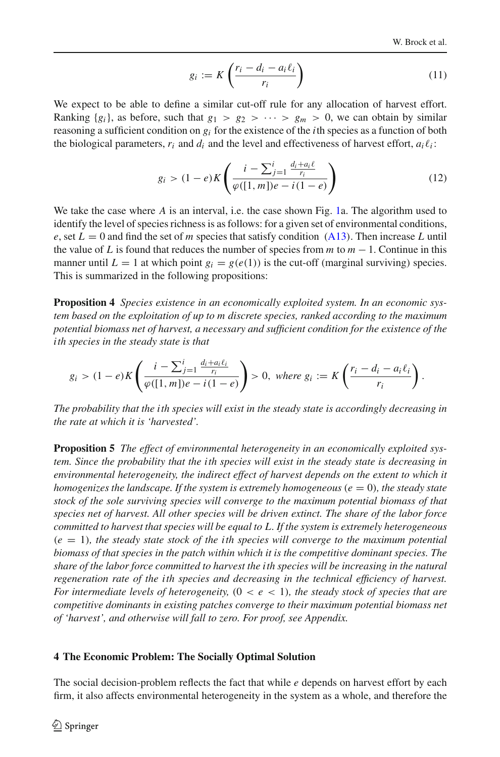$$
g_i := K\left(\frac{r_i - d_i - a_i\ell_i}{r_i}\right) \tag{11}
$$

We expect to be able to define a similar cut-off rule for any allocation of harvest effort. Ranking  $\{g_i\}$ , as before, such that  $g_1 > g_2 > \cdots > g_m > 0$ , we can obtain by similar reasoning a sufficient condition on *gi* for the existence of the *i*th species as a function of both the biological parameters,  $r_i$  and  $d_i$  and the level and effectiveness of harvest effort,  $a_i \ell_i$ :

$$
g_i > (1 - e)K\left(\frac{i - \sum_{j=1}^i \frac{d_i + a_i\ell}{r_i}}{\varphi([1, m])e - i(1 - e)}\right)
$$
(12)

<span id="page-7-0"></span>We take the case where *A* is an interval, i.e. the case shown Fig. [1a](#page-4-0). The algorithm used to identify the level of species richness is as follows: for a given set of environmental conditions, *e*, set  $L = 0$  and find the set of *m* species that satisfy condition ([A13](#page-13-0)). Then increase *L* until the value of *L* is found that reduces the number of species from  $m$  to  $m - 1$ . Continue in this manner until  $L = 1$  at which point  $g_i = g(e(1))$  is the cut-off (marginal surviving) species. This is summarized in the following propositions:

**Proposition 4** *Species existence in an economically exploited system. In an economic system based on the exploitation of up to m discrete species, ranked according to the maximum potential biomass net of harvest, a necessary and sufficient condition for the existence of the ith species in the steady state is that*

$$
g_i > (1-e)K\left(\frac{i-\sum_{j=1}^i \frac{d_i+a_i\ell_i}{r_i}}{\varphi([1,m])e - i(1-e)}\right) > 0
$$
, where  $g_i := K\left(\frac{r_i - d_i - a_i\ell_i}{r_i}\right)$ .

*The probability that the ith species will exist in the steady state is accordingly decreasing in the rate at which it is 'harvested'.*

<span id="page-7-1"></span>**Proposition 5** *The effect of environmental heterogeneity in an economically exploited system. Since the probability that the ith species will exist in the steady state is decreasing in environmental heterogeneity, the indirect effect of harvest depends on the extent to which it homogenizes the landscape. If the system is extremely homogeneous* (*e* = 0)*, the steady state stock of the sole surviving species will converge to the maximum potential biomass of that species net of harvest. All other species will be driven extinct. The share of the labor force committed to harvest that species will be equal to L. If the system is extremely heterogeneous* (*e* = 1)*, the steady state stock of the ith species will converge to the maximum potential biomass of that species in the patch within which it is the competitive dominant species. The share of the labor force committed to harvest the ith species will be increasing in the natural regeneration rate of the ith species and decreasing in the technical efficiency of harvest. For intermediate levels of heterogeneity,* (0 < *e* < 1)*, the steady stock of species that are competitive dominants in existing patches converge to their maximum potential biomass net of 'harvest', and otherwise will fall to zero. For proof, see Appendix.*

#### **4 The Economic Problem: The Socially Optimal Solution**

The social decision-problem reflects the fact that while *e* depends on harvest effort by each firm, it also affects environmental heterogeneity in the system as a whole, and therefore the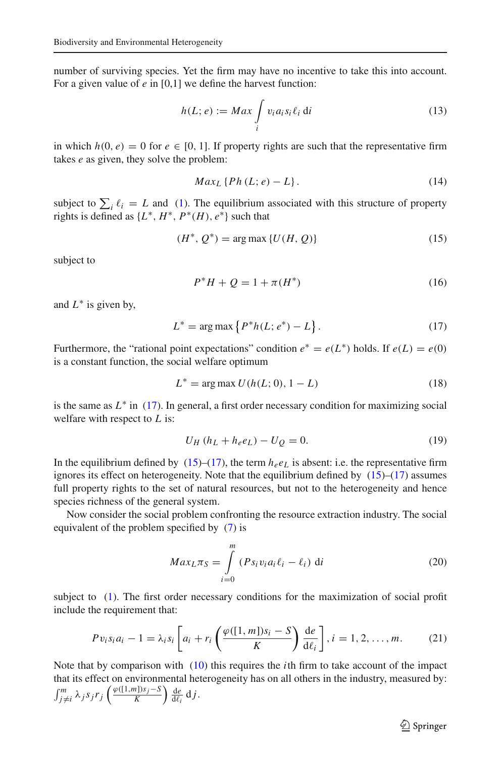number of surviving species. Yet the firm may have no incentive to take this into account. For a given value of *e* in [0,1] we define the harvest function:

$$
h(L; e) := Max \int_{i} v_i a_i s_i \ell_i \, \mathrm{d}i \tag{13}
$$

in which  $h(0, e) = 0$  for  $e \in [0, 1]$ . If property rights are such that the representative firm takes *e* as given, they solve the problem:

$$
Max_{L} \{Ph(L; e) - L\}.
$$
\n(14)

subject to  $\sum_i \ell_i = L$  and [\(1\)](#page-2-0). The equilibrium associated with this structure of property rights is defined as  $\{L^*, H^*, P^*(H), e^*\}$  such that

$$
(H^*, \, \mathcal{Q}^*) = \arg \max \{ U(H, \, \mathcal{Q}) \} \tag{15}
$$

<span id="page-8-1"></span>subject to

$$
P^*H + Q = 1 + \pi(H^*)
$$
 (16)

<span id="page-8-0"></span>and  $L^*$  is given by,

$$
L^* = \arg \max \{ P^*h(L; e^*) - L \}.
$$
 (17)

Furthermore, the "rational point expectations" condition  $e^* = e(L^*)$  holds. If  $e(L) = e(0)$ is a constant function, the social welfare optimum

$$
L^* = \arg \max U(h(L; 0), 1 - L)
$$
 (18)

is the same as  $L^*$  in [\(17\)](#page-8-0). In general, a first order necessary condition for maximizing social welfare with respect to *L* is:

$$
U_H (h_L + h_e e_L) - U_Q = 0.
$$
 (19)

<span id="page-8-3"></span>In the equilibrium defined by  $(15)$ – $(17)$ , the term  $h_e e_l$  is absent: i.e. the representative firm ignores its effect on heterogeneity. Note that the equilibrium defined by  $(15)$ – $(17)$  assumes full property rights to the set of natural resources, but not to the heterogeneity and hence species richness of the general system.

Now consider the social problem confronting the resource extraction industry. The social equivalent of the problem specified by [\(7\)](#page-5-0) is

$$
Max_{L}\pi_{S} = \int_{i=0}^{m} (P s_{i} v_{i} a_{i} \ell_{i} - \ell_{i}) \, \mathrm{d}i \tag{20}
$$

<span id="page-8-2"></span>subject to [\(1\)](#page-2-0). The first order necessary conditions for the maximization of social profit include the requirement that:

$$
Pv_i s_i a_i - 1 = \lambda_i s_i \left[ a_i + r_i \left( \frac{\varphi([1, m]) s_i - S}{K} \right) \frac{d e}{d \ell_i} \right], i = 1, 2, \dots, m. \tag{21}
$$

Note that by comparison with  $(10)$  this requires the *i*th firm to take account of the impact that its effect on environmental heterogeneity has on all others in the industry, measured by:  $\int_{j\neq i}^{m} \lambda_j s_j r_j \left( \frac{\varphi([1,m])s_j-S}{K} \right) \frac{d e}{d \ell_i} d j.$ 

 $\circled{2}$  Springer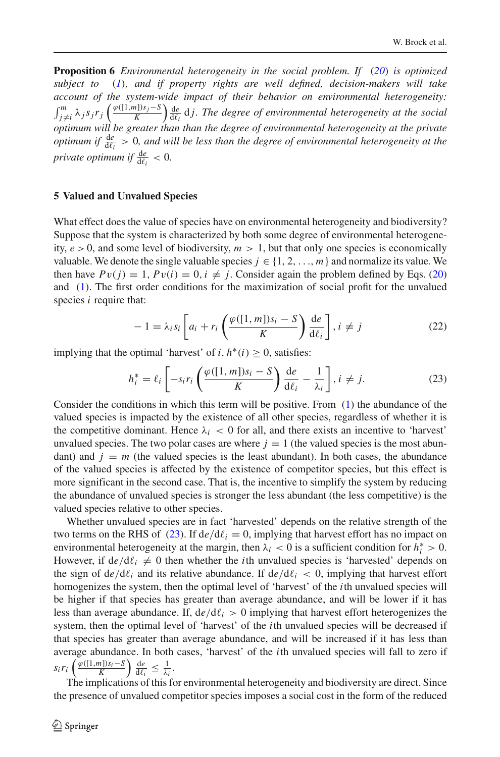**Proposition 6** *Environmental heterogeneity in the social problem. If* (*[20](#page-8-2)*) *is optimized subject to* (*[1](#page-2-0)*)*, and if property rights are well defined, decision-makers will take account of the system-wide impact of their behavior on environmental heterogeneity:*  $\int_{j\neq i}^m \lambda_j s_j r_j\left(\frac{\varphi([1,m])s_j-S}{K}\right) \frac{d e}{d \ell_i}$  d*j. The degree of environmental heterogeneity at the social optimum will be greater than than the degree of environmental heterogeneity at the private optimum if*  $\frac{de}{d\ell_i} > 0$ , and will be less than the degree of environmental heterogeneity at the *private optimum if*  $\frac{de}{d\ell_i} < 0$ .

## **5 Valued and Unvalued Species**

What effect does the value of species have on environmental heterogeneity and biodiversity? Suppose that the system is characterized by both some degree of environmental heterogeneity,  $e > 0$ , and some level of biodiversity,  $m > 1$ , but that only one species is economically valuable. We denote the single valuable species  $j \in \{1, 2, ..., m\}$  and normalize its value. We then have  $Pv(j) = 1$ ,  $Pv(i) = 0$ ,  $i \neq j$ . Consider again the problem defined by Eqs. [\(20\)](#page-8-2) and [\(1\)](#page-2-0). The first order conditions for the maximization of social profit for the unvalued species *i* require that:

$$
-1 = \lambda_i s_i \left[ a_i + r_i \left( \frac{\varphi([1, m]) s_i - S}{K} \right) \frac{d e}{d \ell_i} \right], i \neq j \tag{22}
$$

<span id="page-9-0"></span>implying that the optimal 'harvest' of  $i, h^*(i) \geq 0$ , satisfies:

$$
h_i^* = \ell_i \left[ -s_i r_i \left( \frac{\varphi([1, m]) s_i - S}{K} \right) \frac{d e}{d \ell_i} - \frac{1}{\lambda_i} \right], i \neq j. \tag{23}
$$

Consider the conditions in which this term will be positive. From [\(1\)](#page-2-0) the abundance of the valued species is impacted by the existence of all other species, regardless of whether it is the competitive dominant. Hence  $\lambda_i$  < 0 for all, and there exists an incentive to 'harvest' unvalued species. The two polar cases are where  $j = 1$  (the valued species is the most abundant) and  $j = m$  (the valued species is the least abundant). In both cases, the abundance of the valued species is affected by the existence of competitor species, but this effect is more significant in the second case. That is, the incentive to simplify the system by reducing the abundance of unvalued species is stronger the less abundant (the less competitive) is the valued species relative to other species.

Whether unvalued species are in fact 'harvested' depends on the relative strength of the two terms on the RHS of [\(23\)](#page-9-0). If  $de/d\ell_i = 0$ , implying that harvest effort has no impact on environmental heterogeneity at the margin, then  $\lambda_i < 0$  is a sufficient condition for  $h_i^* > 0$ . However, if  $de/d\ell_i \neq 0$  then whether the *i*th unvalued species is 'harvested' depends on the sign of  $de/d\ell_i$  and its relative abundance. If  $de/d\ell_i < 0$ , implying that harvest effort homogenizes the system, then the optimal level of 'harvest' of the *i*th unvalued species will be higher if that species has greater than average abundance, and will be lower if it has less than average abundance. If,  $de/d\ell_i > 0$  implying that harvest effort heterogenizes the system, then the optimal level of 'harvest' of the *i*th unvalued species will be decreased if that species has greater than average abundance, and will be increased if it has less than average abundance. In both cases, 'harvest' of the *i*th unvalued species will fall to zero if  $s_i r_i \left( \frac{\varphi([1,m])s_i - S}{K} \right) \frac{d e}{d \ell_i} \leq \frac{1}{\lambda_i}.$ 

The implications of this for environmental heterogeneity and biodiversity are direct. Since the presence of unvalued competitor species imposes a social cost in the form of the reduced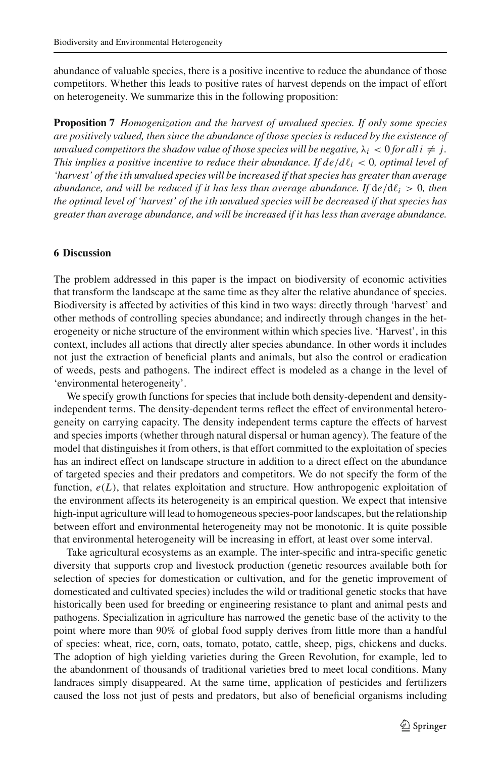abundance of valuable species, there is a positive incentive to reduce the abundance of those competitors. Whether this leads to positive rates of harvest depends on the impact of effort on heterogeneity. We summarize this in the following proposition:

**Proposition 7** *Homogenization and the harvest of unvalued species. If only some species are positively valued, then since the abundance of those species is reduced by the existence of unvalued competitors the shadow value of those species will be negative,*  $\lambda_i < 0$  for all  $i \neq j$ . *This implies a positive incentive to reduce their abundance. If*  $de/d\ell_i < 0$ *, optimal level of 'harvest' of the ith unvalued species will be increased if that species has greater than average* abundance, and will be reduced if it has less than average abundance. If  $de/d\ell_i > 0$ , then *the optimal level of 'harvest' of the ith unvalued species will be decreased if that species has greater than average abundance, and will be increased if it has less than average abundance.*

# **6 Discussion**

The problem addressed in this paper is the impact on biodiversity of economic activities that transform the landscape at the same time as they alter the relative abundance of species. Biodiversity is affected by activities of this kind in two ways: directly through 'harvest' and other methods of controlling species abundance; and indirectly through changes in the heterogeneity or niche structure of the environment within which species live. 'Harvest', in this context, includes all actions that directly alter species abundance. In other words it includes not just the extraction of beneficial plants and animals, but also the control or eradication of weeds, pests and pathogens. The indirect effect is modeled as a change in the level of 'environmental heterogeneity'.

We specify growth functions for species that include both density-dependent and densityindependent terms. The density-dependent terms reflect the effect of environmental heterogeneity on carrying capacity. The density independent terms capture the effects of harvest and species imports (whether through natural dispersal or human agency). The feature of the model that distinguishes it from others, is that effort committed to the exploitation of species has an indirect effect on landscape structure in addition to a direct effect on the abundance of targeted species and their predators and competitors. We do not specify the form of the function,  $e(L)$ , that relates exploitation and structure. How anthropogenic exploitation of the environment affects its heterogeneity is an empirical question. We expect that intensive high-input agriculture will lead to homogeneous species-poor landscapes, but the relationship between effort and environmental heterogeneity may not be monotonic. It is quite possible that environmental heterogeneity will be increasing in effort, at least over some interval.

Take agricultural ecosystems as an example. The inter-specific and intra-specific genetic diversity that supports crop and livestock production (genetic resources available both for selection of species for domestication or cultivation, and for the genetic improvement of domesticated and cultivated species) includes the wild or traditional genetic stocks that have historically been used for breeding or engineering resistance to plant and animal pests and pathogens. Specialization in agriculture has narrowed the genetic base of the activity to the point where more than 90% of global food supply derives from little more than a handful of species: wheat, rice, corn, oats, tomato, potato, cattle, sheep, pigs, chickens and ducks. The adoption of high yielding varieties during the Green Revolution, for example, led to the abandonment of thousands of traditional varieties bred to meet local conditions. Many landraces simply disappeared. At the same time, application of pesticides and fertilizers caused the loss not just of pests and predators, but also of beneficial organisms including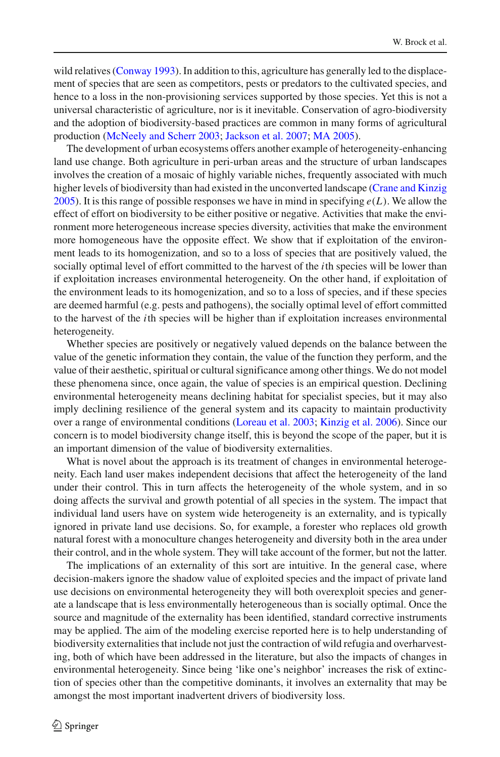wild relatives [\(Conway 1993](#page-14-9)). In addition to this, agriculture has generally led to the displacement of species that are seen as competitors, pests or predators to the cultivated species, and hence to a loss in the non-provisioning services supported by those species. Yet this is not a universal characteristic of agriculture, nor is it inevitable. Conservation of agro-biodiversity and the adoption of biodiversity-based practices are common in many forms of agricultural production [\(McNeely and Scherr 2003](#page-14-10); [Jackson et al. 2007](#page-14-11); [MA 2005\)](#page-14-12).

The development of urban ecosystems offers another example of heterogeneity-enhancing land use change. Both agriculture in peri-urban areas and the structure of urban landscapes involves the creation of a mosaic of highly variable niches, frequently associated with much higher levels of biodiversity than had existed in the unconverted landscape [\(Crane and Kinzig](#page-14-13) [2005](#page-14-13)). It is this range of possible responses we have in mind in specifying  $e(L)$ . We allow the effect of effort on biodiversity to be either positive or negative. Activities that make the environment more heterogeneous increase species diversity, activities that make the environment more homogeneous have the opposite effect. We show that if exploitation of the environment leads to its homogenization, and so to a loss of species that are positively valued, the socially optimal level of effort committed to the harvest of the *i*th species will be lower than if exploitation increases environmental heterogeneity. On the other hand, if exploitation of the environment leads to its homogenization, and so to a loss of species, and if these species are deemed harmful (e.g. pests and pathogens), the socially optimal level of effort committed to the harvest of the *i*th species will be higher than if exploitation increases environmental heterogeneity.

Whether species are positively or negatively valued depends on the balance between the value of the genetic information they contain, the value of the function they perform, and the value of their aesthetic, spiritual or cultural significance among other things. We do not model these phenomena since, once again, the value of species is an empirical question. Declining environmental heterogeneity means declining habitat for specialist species, but it may also imply declining resilience of the general system and its capacity to maintain productivity over a range of environmental conditions [\(Loreau et al. 2003;](#page-14-14) [Kinzig et al. 2006](#page-14-15)). Since our concern is to model biodiversity change itself, this is beyond the scope of the paper, but it is an important dimension of the value of biodiversity externalities.

What is novel about the approach is its treatment of changes in environmental heterogeneity. Each land user makes independent decisions that affect the heterogeneity of the land under their control. This in turn affects the heterogeneity of the whole system, and in so doing affects the survival and growth potential of all species in the system. The impact that individual land users have on system wide heterogeneity is an externality, and is typically ignored in private land use decisions. So, for example, a forester who replaces old growth natural forest with a monoculture changes heterogeneity and diversity both in the area under their control, and in the whole system. They will take account of the former, but not the latter.

The implications of an externality of this sort are intuitive. In the general case, where decision-makers ignore the shadow value of exploited species and the impact of private land use decisions on environmental heterogeneity they will both overexploit species and generate a landscape that is less environmentally heterogeneous than is socially optimal. Once the source and magnitude of the externality has been identified, standard corrective instruments may be applied. The aim of the modeling exercise reported here is to help understanding of biodiversity externalities that include not just the contraction of wild refugia and overharvesting, both of which have been addressed in the literature, but also the impacts of changes in environmental heterogeneity. Since being 'like one's neighbor' increases the risk of extinction of species other than the competitive dominants, it involves an externality that may be amongst the most important inadvertent drivers of biodiversity loss.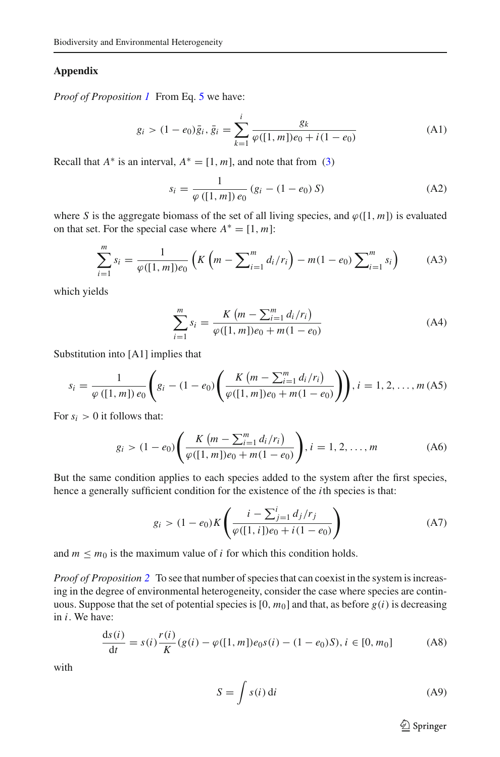# **Appendix**

*Proof of Proposition [1](#page-4-1)* From Eq. [5](#page-3-2) we have:

$$
g_i > (1 - e_0)\bar{g}_i, \bar{g}_i = \sum_{k=1}^i \frac{g_k}{\varphi([1, m])e_0 + i(1 - e_0)}
$$
(A1)

Recall that  $A^*$  is an interval,  $A^* = [1, m]$ , and note that from [\(3\)](#page-3-1)

$$
s_i = \frac{1}{\varphi([1, m]) e_0} (g_i - (1 - e_0) S)
$$
 (A2)

where *S* is the aggregate biomass of the set of all living species, and  $\varphi([1, m])$  is evaluated on that set. For the special case where  $A^* = [1, m]$ :

$$
\sum_{i=1}^{m} s_i = \frac{1}{\varphi([1,m])e_0} \left( K \left( m - \sum_{i=1}^{m} d_i / r_i \right) - m(1 - e_0) \sum_{i=1}^{m} s_i \right) \tag{A3}
$$

which yields

$$
\sum_{i=1}^{m} s_i = \frac{K (m - \sum_{i=1}^{m} d_i / r_i)}{\varphi([1, m])e_0 + m(1 - e_0)}
$$
(A4)

Substitution into [A1] implies that

$$
s_i = \frac{1}{\varphi([1,m])\,e_0} \Bigg( g_i - (1-e_0) \Bigg( \frac{K\left(m - \sum_{i=1}^m d_i/r_i\right)}{\varphi([1,m])e_0 + m(1-e_0)} \Bigg) \Bigg), i = 1, 2, \ldots, m \text{ (A5)}
$$

For  $s_i > 0$  it follows that:

$$
g_i > (1 - e_0) \left( \frac{K \left( m - \sum_{i=1}^m d_i / r_i \right)}{\varphi([1, m]) e_0 + m(1 - e_0)} \right), i = 1, 2, ..., m \tag{A6}
$$

But the same condition applies to each species added to the system after the first species, hence a generally sufficient condition for the existence of the *i*th species is that:

$$
g_i > (1 - e_0)K\left(\frac{i - \sum_{j=1}^{i} d_j/r_j}{\varphi([1, i])e_0 + i(1 - e_0)}\right)
$$
(A7)

and  $m \leq m_0$  is the maximum value of *i* for which this condition holds.

*Proof of Proposition* [2](#page-5-1) To see that number of species that can coexist in the system is increasing in the degree of environmental heterogeneity, consider the case where species are continuous. Suppose that the set of potential species is  $[0, m_0]$  and that, as before  $g(i)$  is decreasing in *i*. We have:

$$
\frac{ds(i)}{dt} = s(i)\frac{r(i)}{K}(g(i) - \varphi([1, m])e_0s(i) - (1 - e_0)S), i \in [0, m_0]
$$
 (A8)

with

$$
S = \int s(i) \, \mathrm{d}i \tag{A9}
$$

 $\hat{\mathfrak{D}}$  Springer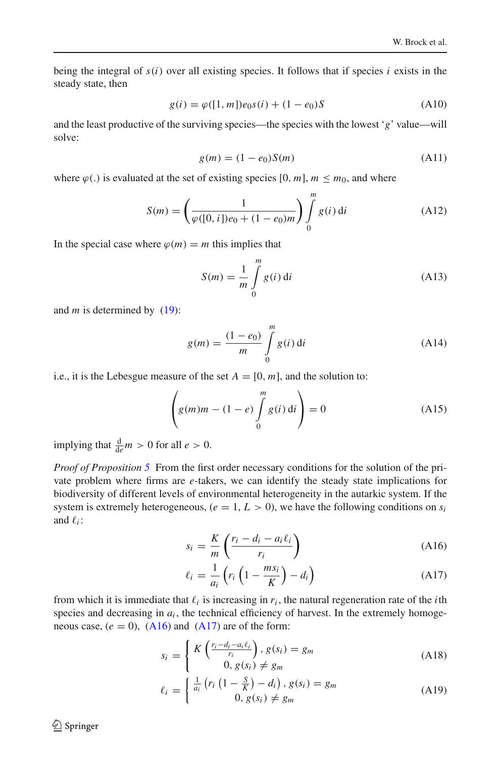being the integral of  $s(i)$  over all existing species. It follows that if species *i* exists in the steady state, then

$$
g(i) = \varphi([1, m])e_0s(i) + (1 - e_0)S
$$
 (A10)

and the least productive of the surviving species—the species with the lowest '*g*' value—will solve:

$$
g(m) = (1 - e_0)S(m)
$$
 (A11)

where  $\varphi(.)$  is evaluated at the set of existing species [0, *m*],  $m \le m_0$ , and where

$$
S(m) = \left(\frac{1}{\varphi([0, i])e_0 + (1 - e_0)m}\right) \int_{0}^{m} g(i) \, \mathrm{d}i \tag{A12}
$$

<span id="page-13-0"></span>In the special case where  $\varphi(m) = m$  this implies that

$$
S(m) = \frac{1}{m} \int_{0}^{m} g(i) \, \mathrm{d}i \tag{A13}
$$

and *m* is determined by [\(19\)](#page-8-3):

$$
g(m) = \frac{(1 - e_0)}{m} \int_{0}^{m} g(i) \, \mathrm{d}i \tag{A14}
$$

i.e., it is the Lebesgue measure of the set  $A = [0, m]$ , and the solution to:

$$
\left(g(m)m - (1 - e)\int_{0}^{m} g(i) di\right) = 0
$$
\n(A15)

implying that  $\frac{d}{de}m > 0$  for all  $e > 0$ .

*Proof of Proposition [5](#page-7-1)* From the first order necessary conditions for the solution of the private problem where firms are *e*-takers, we can identify the steady state implications for biodiversity of different levels of environmental heterogeneity in the autarkic system. If the system is extremely heterogeneous, ( $e = 1, L > 0$ ), we have the following conditions on  $s_i$ and  $\ell_i$ :

$$
s_i = \frac{K}{m} \left( \frac{r_i - d_i - a_i \ell_i}{r_i} \right) \tag{A16}
$$

$$
\ell_i = \frac{1}{a_i} \left( r_i \left( 1 - \frac{m s_i}{K} \right) - d_i \right) \tag{A17}
$$

<span id="page-13-1"></span>from which it is immediate that  $\ell_i$  is increasing in  $r_i$ , the natural regeneration rate of the *i*th species and decreasing in  $a_i$ , the technical efficiency of harvest. In the extremely homogeneous case,  $(e = 0)$ ,  $(A16)$  and  $(A17)$  are of the form:

$$
s_i = \begin{cases} K\left(\frac{r_i - d_i - a_i \ell_i}{r_i}\right), g(s_i) = g_m\\ 0, g(s_i) \neq g_m \end{cases}
$$
(A18)

$$
\ell_i = \begin{cases} \frac{1}{a_i} \left( r_i \left( 1 - \frac{S}{K} \right) - d_i \right), g(s_i) = g_m \\ 0, g(s_i) \neq g_m \end{cases}
$$
(A19)

 $\circledcirc$  Springer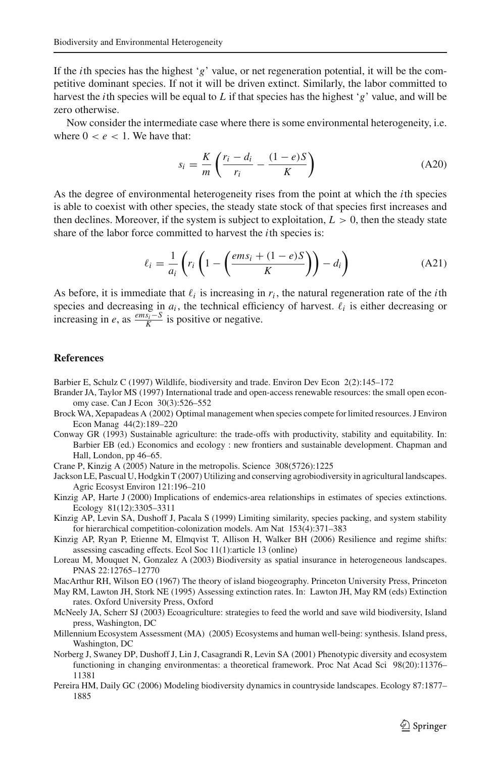If the *i*th species has the highest '*g*' value, or net regeneration potential, it will be the competitive dominant species. If not it will be driven extinct. Similarly, the labor committed to harvest the *i*th species will be equal to *L* if that species has the highest '*g*' value, and will be zero otherwise.

Now consider the intermediate case where there is some environmental heterogeneity, i.e. where  $0 < e < 1$ . We have that:

$$
s_i = \frac{K}{m} \left( \frac{r_i - d_i}{r_i} - \frac{(1 - e)S}{K} \right) \tag{A20}
$$

As the degree of environmental heterogeneity rises from the point at which the *i*th species is able to coexist with other species, the steady state stock of that species first increases and then declines. Moreover, if the system is subject to exploitation,  $L > 0$ , then the steady state share of the labor force committed to harvest the *i*th species is:

$$
\ell_i = \frac{1}{a_i} \left( r_i \left( 1 - \left( \frac{em s_i + (1 - e)S}{K} \right) \right) - d_i \right) \tag{A21}
$$

As before, it is immediate that  $\ell_i$  is increasing in  $r_i$ , the natural regeneration rate of the *i*th species and decreasing in  $a_i$ , the technical efficiency of harvest.  $\ell_i$  is either decreasing or increasing in *e*, as  $\frac{ems_i - S}{K}$  is positive or negative.

## **References**

- <span id="page-14-0"></span>Barbier E, Schulz C (1997) Wildlife, biodiversity and trade. Environ Dev Econ 2(2):145–172
- <span id="page-14-8"></span>Brander JA, Taylor MS (1997) International trade and open-access renewable resources: the small open economy case. Can J Econ 30(3):526–552
- <span id="page-14-7"></span>Brock WA, Xepapadeas A (2002) Optimal management when species compete for limited resources. J Environ Econ Manag 44(2):189–220
- <span id="page-14-9"></span>Conway GR (1993) Sustainable agriculture: the trade-offs with productivity, stability and equitability. In: Barbier EB (ed.) Economics and ecology : new frontiers and sustainable development. Chapman and Hall, London, pp 46–65.
- <span id="page-14-13"></span>Crane P, Kinzig A (2005) Nature in the metropolis. Science 308(5726):1225
- <span id="page-14-11"></span>Jackson LE, Pascual U, Hodgkin T (2007) Utilizing and conserving agrobiodiversity in agricultural landscapes. Agric Ecosyst Environ 121:196–210
- <span id="page-14-4"></span>Kinzig AP, Harte J (2000) Implications of endemics-area relationships in estimates of species extinctions. Ecology 81(12):3305–3311
- <span id="page-14-3"></span>Kinzig AP, Levin SA, Dushoff J, Pacala S (1999) Limiting similarity, species packing, and system stability for hierarchical competition-colonization models. Am Nat 153(4):371–383
- <span id="page-14-15"></span>Kinzig AP, Ryan P, Etienne M, Elmqvist T, Allison H, Walker BH (2006) Resilience and regime shifts: assessing cascading effects. Ecol Soc 11(1):article 13 (online)
- <span id="page-14-14"></span>Loreau M, Mouquet N, Gonzalez A (2003) Biodiversity as spatial insurance in heterogeneous landscapes. PNAS 22:12765–12770

<span id="page-14-1"></span>MacArthur RH, Wilson EO (1967) The theory of island biogeography. Princeton University Press, Princeton

- <span id="page-14-5"></span>May RM, Lawton JH, Stork NE (1995) Assessing extinction rates. In: Lawton JH, May RM (eds) Extinction rates. Oxford University Press, Oxford
- <span id="page-14-10"></span>McNeely JA, Scherr SJ (2003) Ecoagriculture: strategies to feed the world and save wild biodiversity, Island press, Washington, DC
- <span id="page-14-12"></span>Millennium Ecosystem Assessment (MA) (2005) Ecosystems and human well-being: synthesis. Island press, Washington, DC
- <span id="page-14-6"></span>Norberg J, Swaney DP, Dushoff J, Lin J, Casagrandi R, Levin SA (2001) Phenotypic diversity and ecosystem functioning in changing environmentas: a theoretical framework. Proc Nat Acad Sci 98(20):11376– 11381
- <span id="page-14-2"></span>Pereira HM, Daily GC (2006) Modeling biodiversity dynamics in countryside landscapes. Ecology 87:1877– 1885